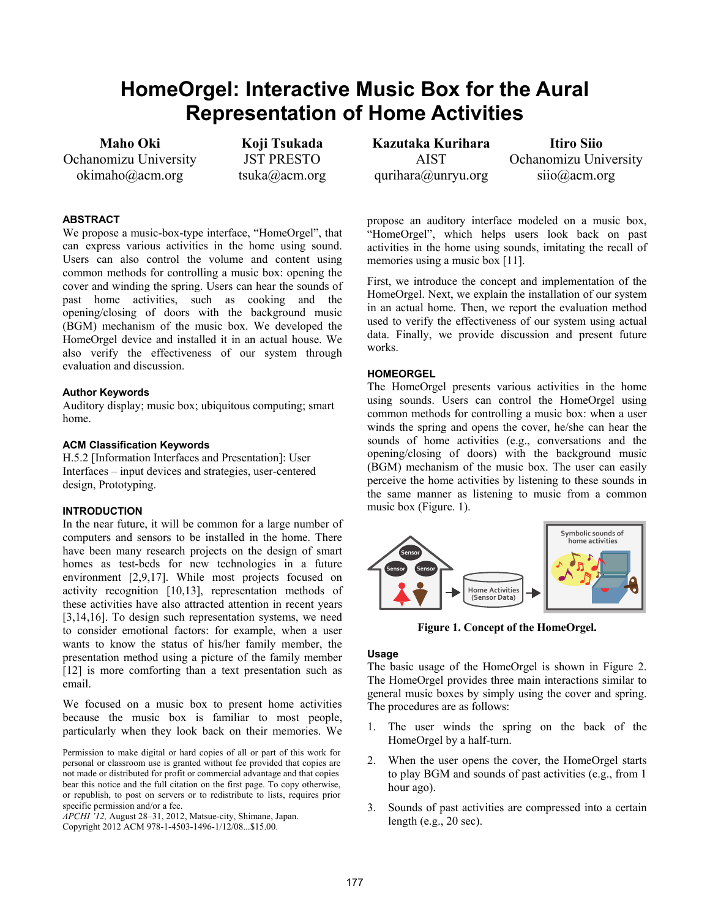# **HomeOrgel: Interactive Music Box for the Aural Representation of Home Activities**

**Maho Oki**  Ochanomizu University okimaho@acm.org

**Koji Tsukada**  JST PRESTO tsuka@acm.org

### **ABSTRACT**

We propose a music-box-type interface, "HomeOrgel", that can express various activities in the home using sound. Users can also control the volume and content using common methods for controlling a music box: opening the cover and winding the spring. Users can hear the sounds of past home activities, such as cooking and the opening/closing of doors with the background music (BGM) mechanism of the music box. We developed the HomeOrgel device and installed it in an actual house. We also verify the effectiveness of our system through evaluation and discussion.

#### **Author Keywords**

Auditory display; music box; ubiquitous computing; smart home.

#### **ACM Classification Keywords**

H.5.2 [Information Interfaces and Presentation]: User Interfaces – input devices and strategies, user-centered design, Prototyping.

#### **INTRODUCTION**

In the near future, it will be common for a large number of computers and sensors to be installed in the home. There have been many research projects on the design of smart homes as test-beds for new technologies in a future environment [2,9,17]. While most projects focused on activity recognition [10,13], representation methods of these activities have also attracted attention in recent years [3,14,16]. To design such representation systems, we need to consider emotional factors: for example, when a user wants to know the status of his/her family member, the presentation method using a picture of the family member [12] is more comforting than a text presentation such as email.

We focused on a music box to present home activities because the music box is familiar to most people, particularly when they look back on their memories. We

Permission to make digital or hard copies of all or part of this work for personal or classroom use is granted without fee provided that copies are not made or distributed for profit or commercial advantage and that copies bear this notice and the full citation on the first page. To copy otherwise, or republish, to post on servers or to redistribute to lists, requires prior specific permission and/or a fee.

*APCHI '12,* August 28–31, 2012, Matsue-city, Shimane, Japan. Copyright 2012 ACM 978-1-4503-1496-1/12/08...\$15.00.

| Kazutaka Kurihara  | Itiro Siio                       |
|--------------------|----------------------------------|
| AIST               | Ochanomizu University            |
| qurihara@unryu.org | $\text{siio}$ ( $\phi$ ) acm.org |

propose an auditory interface modeled on a music box, "HomeOrgel", which helps users look back on past activities in the home using sounds, imitating the recall of memories using a music box [11].

First, we introduce the concept and implementation of the HomeOrgel. Next, we explain the installation of our system in an actual home. Then, we report the evaluation method used to verify the effectiveness of our system using actual data. Finally, we provide discussion and present future works.

# **HOMEORGEL**

The HomeOrgel presents various activities in the home using sounds. Users can control the HomeOrgel using common methods for controlling a music box: when a user winds the spring and opens the cover, he/she can hear the sounds of home activities (e.g., conversations and the opening/closing of doors) with the background music (BGM) mechanism of the music box. The user can easily perceive the home activities by listening to these sounds in the same manner as listening to music from a common music box (Figure. 1).



**Figure 1. Concept of the HomeOrgel.** 

#### **Usage**

The basic usage of the HomeOrgel is shown in Figure 2. The HomeOrgel provides three main interactions similar to general music boxes by simply using the cover and spring. The procedures are as follows:

- 1. The user winds the spring on the back of the HomeOrgel by a half-turn.
- 2. When the user opens the cover, the HomeOrgel starts to play BGM and sounds of past activities (e.g., from 1 hour ago).
- 3. Sounds of past activities are compressed into a certain length (e.g., 20 sec).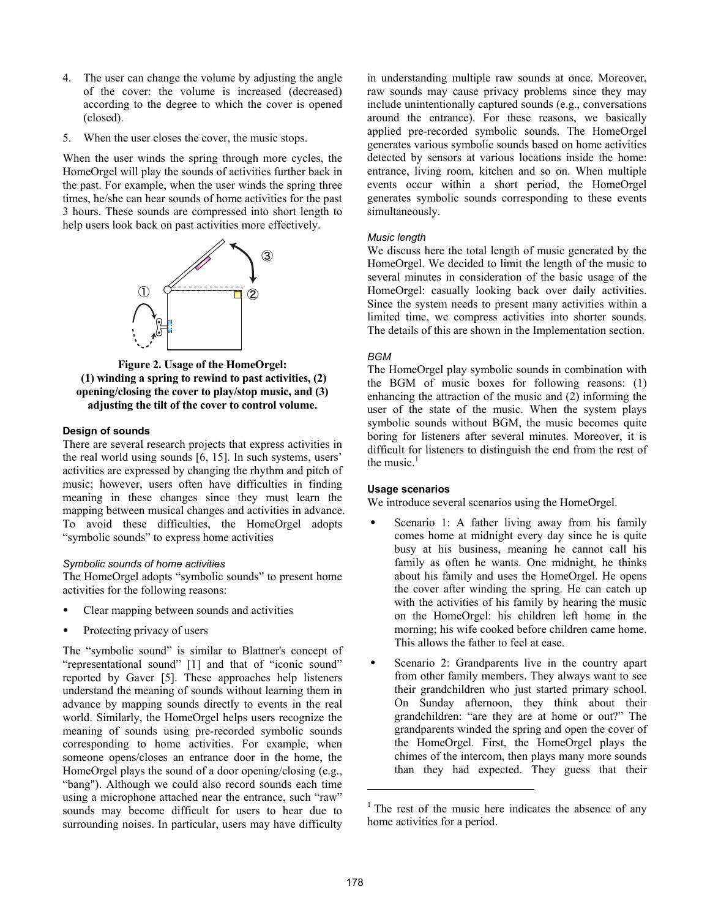- 4. The user can change the volume by adjusting the angle of the cover: the volume is increased (decreased) according to the degree to which the cover is opened (closed).
- 5. When the user closes the cover, the music stops.

When the user winds the spring through more cycles, the HomeOrgel will play the sounds of activities further back in the past. For example, when the user winds the spring three times, he/she can hear sounds of home activities for the past 3 hours. These sounds are compressed into short length to help users look back on past activities more effectively.



**Figure 2. Usage of the HomeOrgel: (1) winding a spring to rewind to past activities, (2) opening/closing the cover to play/stop music, and (3) adjusting the tilt of the cover to control volume.** 

# **Design of sounds**

There are several research projects that express activities in the real world using sounds [6, 15]. In such systems, users' activities are expressed by changing the rhythm and pitch of music; however, users often have difficulties in finding meaning in these changes since they must learn the mapping between musical changes and activities in advance. To avoid these difficulties, the HomeOrgel adopts "symbolic sounds" to express home activities

# *Symbolic sounds of home activities*

The HomeOrgel adopts "symbolic sounds" to present home activities for the following reasons:

- **•** Clear mapping between sounds and activities
- **•** Protecting privacy of users

The "symbolic sound" is similar to Blattner's concept of "representational sound" [1] and that of "iconic sound" reported by Gaver [5]. These approaches help listeners understand the meaning of sounds without learning them in advance by mapping sounds directly to events in the real world. Similarly, the HomeOrgel helps users recognize the meaning of sounds using pre-recorded symbolic sounds corresponding to home activities. For example, when someone opens/closes an entrance door in the home, the HomeOrgel plays the sound of a door opening/closing (e.g., "bang"). Although we could also record sounds each time using a microphone attached near the entrance, such "raw" sounds may become difficult for users to hear due to surrounding noises. In particular, users may have difficulty

in understanding multiple raw sounds at once. Moreover, raw sounds may cause privacy problems since they may include unintentionally captured sounds (e.g., conversations around the entrance). For these reasons, we basically applied pre-recorded symbolic sounds. The HomeOrgel generates various symbolic sounds based on home activities detected by sensors at various locations inside the home: entrance, living room, kitchen and so on. When multiple events occur within a short period, the HomeOrgel generates symbolic sounds corresponding to these events simultaneously.

# *Music length*

We discuss here the total length of music generated by the HomeOrgel. We decided to limit the length of the music to several minutes in consideration of the basic usage of the HomeOrgel: casually looking back over daily activities. Since the system needs to present many activities within a limited time, we compress activities into shorter sounds. The details of this are shown in the Implementation section.

# *BGM*

The HomeOrgel play symbolic sounds in combination with the BGM of music boxes for following reasons: (1) enhancing the attraction of the music and (2) informing the user of the state of the music. When the system plays symbolic sounds without BGM, the music becomes quite boring for listeners after several minutes. Moreover, it is difficult for listeners to distinguish the end from the rest of the music $<sup>1</sup>$ </sup>

# **Usage scenarios**

We introduce several scenarios using the HomeOrgel.

- **•** Scenario 1: A father living away from his family comes home at midnight every day since he is quite busy at his business, meaning he cannot call his family as often he wants. One midnight, he thinks about his family and uses the HomeOrgel. He opens the cover after winding the spring. He can catch up with the activities of his family by hearing the music on the HomeOrgel: his children left home in the morning; his wife cooked before children came home. This allows the father to feel at ease.
- **•** Scenario 2: Grandparents live in the country apart from other family members. They always want to see their grandchildren who just started primary school. On Sunday afternoon, they think about their grandchildren: "are they are at home or out?" The grandparents winded the spring and open the cover of the HomeOrgel. First, the HomeOrgel plays the chimes of the intercom, then plays many more sounds than they had expected. They guess that their

l

<sup>&</sup>lt;sup>1</sup> The rest of the music here indicates the absence of any home activities for a period.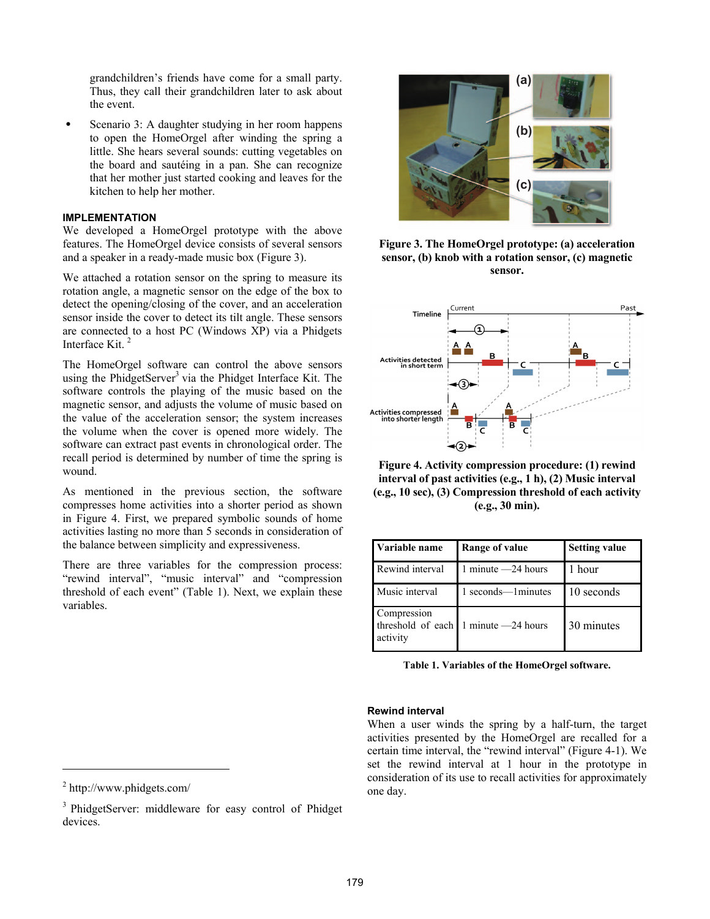grandchildren's friends have come for a small party. Thus, they call their grandchildren later to ask about the event.

**•** Scenario 3: A daughter studying in her room happens to open the HomeOrgel after winding the spring a little. She hears several sounds: cutting vegetables on the board and sautéing in a pan. She can recognize that her mother just started cooking and leaves for the kitchen to help her mother.

#### **IMPLEMENTATION**

We developed a HomeOrgel prototype with the above features. The HomeOrgel device consists of several sensors and a speaker in a ready-made music box (Figure 3).

We attached a rotation sensor on the spring to measure its rotation angle, a magnetic sensor on the edge of the box to detect the opening/closing of the cover, and an acceleration sensor inside the cover to detect its tilt angle. These sensors are connected to a host PC (Windows XP) via a Phidgets Interface Kit. 2

The HomeOrgel software can control the above sensors using the PhidgetServer<sup>3</sup> via the Phidget Interface Kit. The software controls the playing of the music based on the magnetic sensor, and adjusts the volume of music based on the value of the acceleration sensor; the system increases the volume when the cover is opened more widely. The software can extract past events in chronological order. The recall period is determined by number of time the spring is wound.

As mentioned in the previous section, the software compresses home activities into a shorter period as shown in Figure 4. First, we prepared symbolic sounds of home activities lasting no more than 5 seconds in consideration of the balance between simplicity and expressiveness.

There are three variables for the compression process: "rewind interval", "music interval" and "compression threshold of each event" (Table 1). Next, we explain these variables.







**Figure 4. Activity compression procedure: (1) rewind interval of past activities (e.g., 1 h), (2) Music interval (e.g., 10 sec), (3) Compression threshold of each activity (e.g., 30 min).** 

| Variable name                                | Range of value       | <b>Setting value</b> |
|----------------------------------------------|----------------------|----------------------|
| Rewind interval                              | 1 minute $-24$ hours | 1 hour               |
| Music interval                               | 1 seconds—1 minutes  | 10 seconds           |
| Compression<br>threshold of each<br>activity | 1 minute -24 hours   | 30 minutes           |

**Table 1. Variables of the HomeOrgel software.** 

#### **Rewind interval**

When a user winds the spring by a half-turn, the target activities presented by the HomeOrgel are recalled for a certain time interval, the "rewind interval" (Figure 4-1). We set the rewind interval at 1 hour in the prototype in consideration of its use to recall activities for approximately one day.

-

<sup>2</sup> http://www.phidgets.com/

<sup>&</sup>lt;sup>3</sup> PhidgetServer: middleware for easy control of Phidget devices.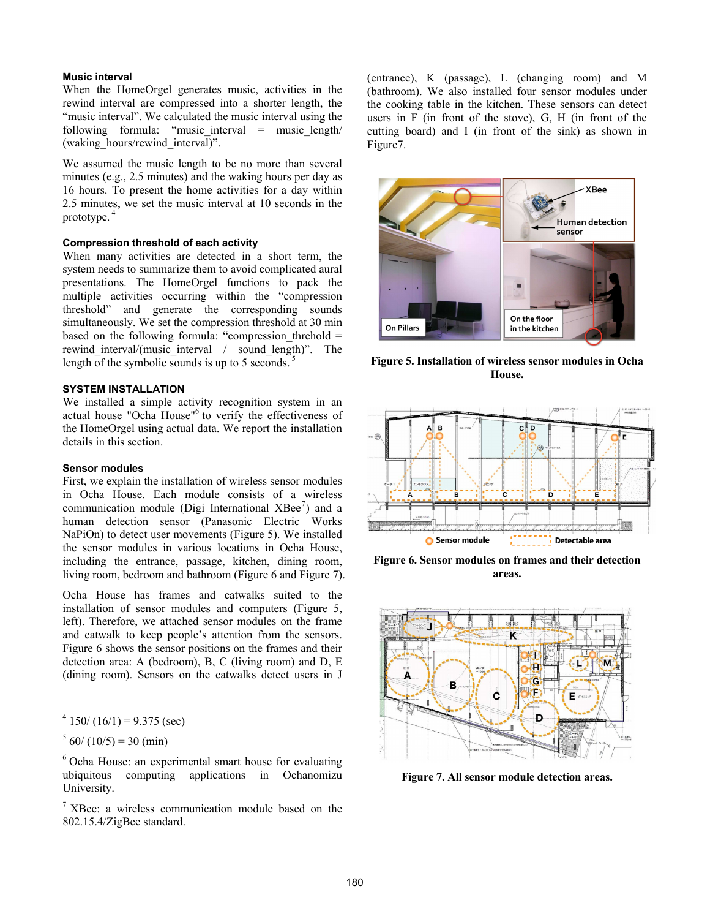#### **Music interval**

When the HomeOrgel generates music, activities in the rewind interval are compressed into a shorter length, the "music interval". We calculated the music interval using the following formula: "music\_interval = music\_length/ (waking hours/rewind interval)".

We assumed the music length to be no more than several minutes (e.g., 2.5 minutes) and the waking hours per day as 16 hours. To present the home activities for a day within 2.5 minutes, we set the music interval at 10 seconds in the prototype.<sup>4</sup>

#### **Compression threshold of each activity**

When many activities are detected in a short term, the system needs to summarize them to avoid complicated aural presentations. The HomeOrgel functions to pack the multiple activities occurring within the "compression threshold" and generate the corresponding sounds simultaneously. We set the compression threshold at 30 min based on the following formula: "compression threhold  $=$ rewind interval/(music interval / sound length)". The length of the symbolic sounds is up to 5 seconds.  $5$ 

#### **SYSTEM INSTALLATION**

We installed a simple activity recognition system in an actual house "Ocha House"<sup>6</sup> to verify the effectiveness of the HomeOrgel using actual data. We report the installation details in this section.

#### **Sensor modules**

First, we explain the installation of wireless sensor modules in Ocha House. Each module consists of a wireless communication module (Digi International  $XBee<sup>7</sup>$ ) and a human detection sensor (Panasonic Electric Works NaPiOn) to detect user movements (Figure 5). We installed the sensor modules in various locations in Ocha House, including the entrance, passage, kitchen, dining room, living room, bedroom and bathroom (Figure 6 and Figure 7).

Ocha House has frames and catwalks suited to the installation of sensor modules and computers (Figure 5, left). Therefore, we attached sensor modules on the frame and catwalk to keep people's attention from the sensors. Figure 6 shows the sensor positions on the frames and their detection area: A (bedroom), B, C (living room) and D, E (dining room). Sensors on the catwalks detect users in J

 $4\overline{150}/(16/1) = 9.375$  (sec)

 $560/(10/5) = 30$  (min)

 $\overline{a}$ 

6 Ocha House: an experimental smart house for evaluating ubiquitous computing applications in Ochanomizu University.

<sup>7</sup> XBee: a wireless communication module based on the 802.15.4/ZigBee standard.

(entrance), K (passage), L (changing room) and M (bathroom). We also installed four sensor modules under the cooking table in the kitchen. These sensors can detect users in F (in front of the stove), G, H (in front of the cutting board) and I (in front of the sink) as shown in Figure7.



**Figure 5. Installation of wireless sensor modules in Ocha House.** 



**Figure 6. Sensor modules on frames and their detection areas.** 



**Figure 7. All sensor module detection areas.**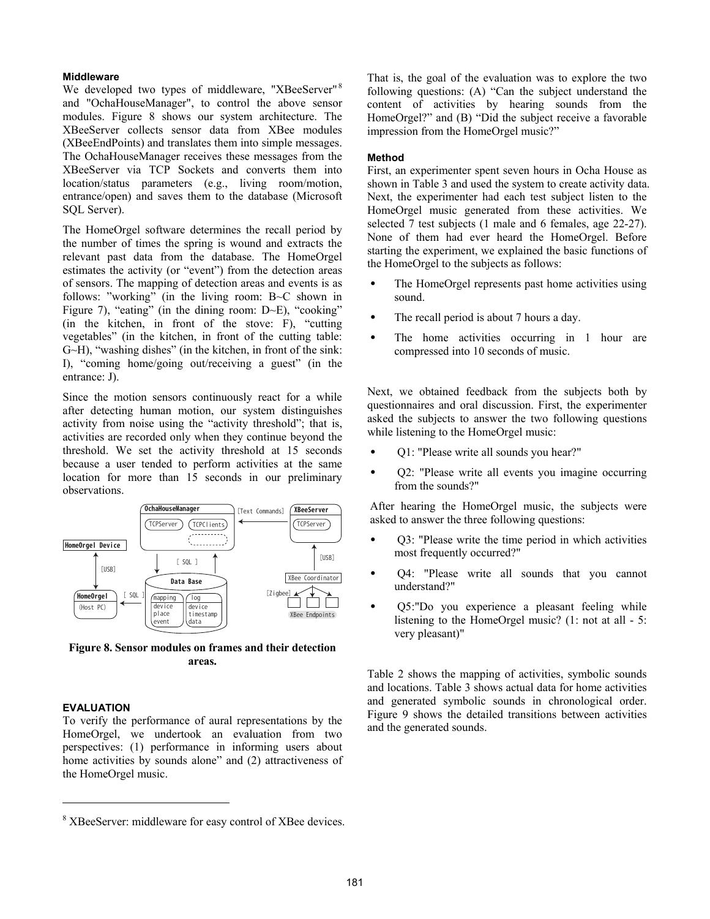#### **Middleware**

We developed two types of middleware, "XBeeServer"<sup>8</sup> and "OchaHouseManager", to control the above sensor modules. Figure 8 shows our system architecture. The XBeeServer collects sensor data from XBee modules (XBeeEndPoints) and translates them into simple messages. The OchaHouseManager receives these messages from the XBeeServer via TCP Sockets and converts them into location/status parameters (e.g., living room/motion, entrance/open) and saves them to the database (Microsoft SQL Server).

The HomeOrgel software determines the recall period by the number of times the spring is wound and extracts the relevant past data from the database. The HomeOrgel estimates the activity (or "event") from the detection areas of sensors. The mapping of detection areas and events is as follows: "working" (in the living room: B~C shown in Figure 7), "eating" (in the dining room:  $D \sim E$ ), "cooking" (in the kitchen, in front of the stove: F), "cutting vegetables" (in the kitchen, in front of the cutting table: G~H), "washing dishes" (in the kitchen, in front of the sink: I), "coming home/going out/receiving a guest" (in the entrance: J).

Since the motion sensors continuously react for a while after detecting human motion, our system distinguishes activity from noise using the "activity threshold"; that is, activities are recorded only when they continue beyond the threshold. We set the activity threshold at 15 seconds because a user tended to perform activities at the same location for more than 15 seconds in our preliminary observations.



**Figure 8. Sensor modules on frames and their detection areas.** 

#### **EVALUATION**

 $\overline{a}$ 

To verify the performance of aural representations by the HomeOrgel, we undertook an evaluation from two perspectives: (1) performance in informing users about home activities by sounds alone" and (2) attractiveness of the HomeOrgel music.

That is, the goal of the evaluation was to explore the two following questions: (A) "Can the subject understand the content of activities by hearing sounds from the HomeOrgel?" and (B) "Did the subject receive a favorable impression from the HomeOrgel music?"

#### **Method**

First, an experimenter spent seven hours in Ocha House as shown in Table 3 and used the system to create activity data. Next, the experimenter had each test subject listen to the HomeOrgel music generated from these activities. We selected 7 test subjects (1 male and 6 females, age 22-27). None of them had ever heard the HomeOrgel. Before starting the experiment, we explained the basic functions of the HomeOrgel to the subjects as follows:

- **•** The HomeOrgel represents past home activities using sound.
- **•** The recall period is about 7 hours a day.
- The home activities occurring in 1 hour are compressed into 10 seconds of music.

Next, we obtained feedback from the subjects both by questionnaires and oral discussion. First, the experimenter asked the subjects to answer the two following questions while listening to the HomeOrgel music:

- **•** Q1: "Please write all sounds you hear?"
- **•** Q2: "Please write all events you imagine occurring from the sounds?"

After hearing the HomeOrgel music, the subjects were asked to answer the three following questions:

- **•** Q3: "Please write the time period in which activities most frequently occurred?"
- **•** Q4: "Please write all sounds that you cannot understand?"
- **•** Q5:"Do you experience a pleasant feeling while listening to the HomeOrgel music? (1: not at all - 5: very pleasant)"

Table 2 shows the mapping of activities, symbolic sounds and locations. Table 3 shows actual data for home activities and generated symbolic sounds in chronological order. Figure 9 shows the detailed transitions between activities and the generated sounds.

<sup>&</sup>lt;sup>8</sup> XBeeServer: middleware for easy control of XBee devices.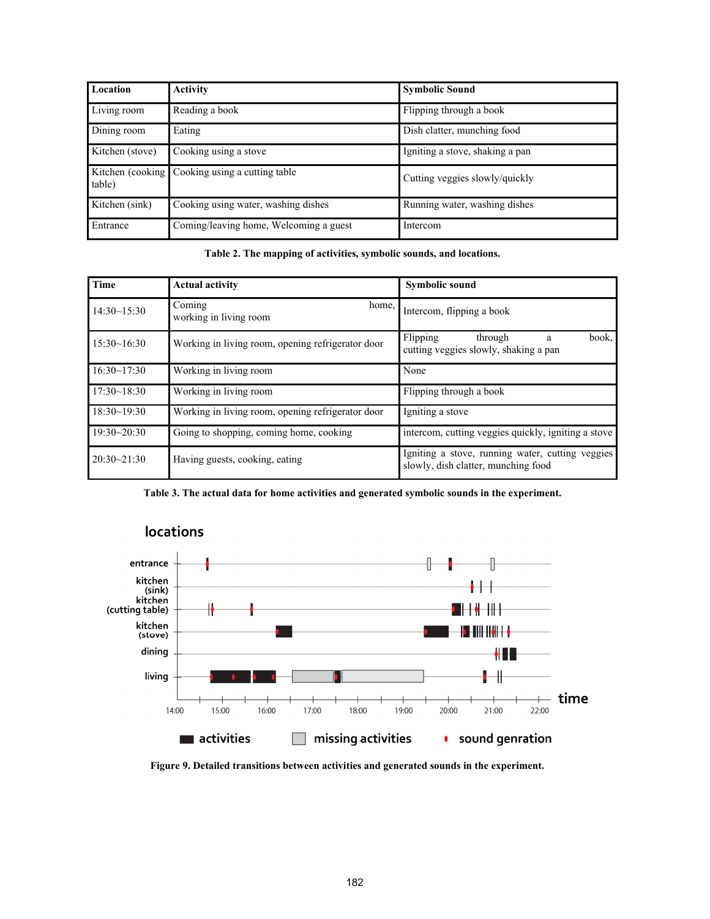| Location                   | <b>Activity</b>                        | <b>Symbolic Sound</b>           |
|----------------------------|----------------------------------------|---------------------------------|
| Living room                | Reading a book                         | Flipping through a book         |
| Dining room                | Eating                                 | Dish clatter, munching food     |
| Kitchen (stove)            | Cooking using a stove                  | Igniting a stove, shaking a pan |
| Kitchen (cooking<br>table) | Cooking using a cutting table          | Cutting veggies slowly/quickly  |
| Kitchen (sink)             | Cooking using water, washing dishes    | Running water, washing dishes   |
| Entrance                   | Coming/leaving home, Welcoming a guest | Intercom                        |

**Table 2. The mapping of activities, symbolic sounds, and locations.** 

| <b>Time</b>     | <b>Actual activity</b>                            | <b>Symbolic sound</b>                                                                   |
|-----------------|---------------------------------------------------|-----------------------------------------------------------------------------------------|
| 14:30~15:30     | Coming<br>home, I<br>working in living room       | Intercom, flipping a book                                                               |
| 15:30~16:30     | Working in living room, opening refrigerator door | Flipping<br>book.<br>through<br>a<br>cutting veggies slowly, shaking a pan              |
| 16:30~17:30     | Working in living room                            | None                                                                                    |
| 17:30~18:30     | Working in living room                            | Flipping through a book                                                                 |
| 18:30~19:30     | Working in living room, opening refrigerator door | Igniting a stove                                                                        |
| $19:30 - 20:30$ | Going to shopping, coming home, cooking           | intercom, cutting veggies quickly, igniting a stove                                     |
| $20:30-21:30$   | Having guests, cooking, eating                    | Igniting a stove, running water, cutting veggies<br>slowly, dish clatter, munching food |

**Table 3. The actual data for home activities and generated symbolic sounds in the experiment.** 



# locations

**Figure 9. Detailed transitions between activities and generated sounds in the experiment.**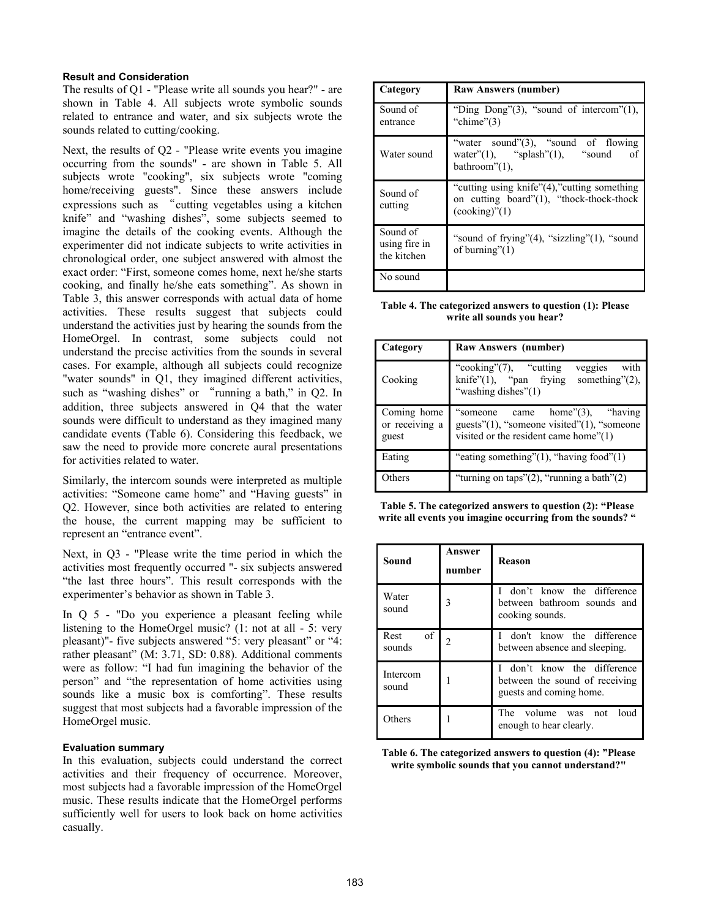#### **Result and Consideration**

The results of Q1 - "Please write all sounds you hear?" - are shown in Table 4. All subjects wrote symbolic sounds related to entrance and water, and six subjects wrote the sounds related to cutting/cooking.

Next, the results of Q2 - "Please write events you imagine occurring from the sounds" - are shown in Table 5. All subjects wrote "cooking", six subjects wrote "coming home/receiving guests". Since these answers include expressions such as "cutting vegetables using a kitchen knife" and "washing dishes", some subjects seemed to imagine the details of the cooking events. Although the experimenter did not indicate subjects to write activities in chronological order, one subject answered with almost the exact order: "First, someone comes home, next he/she starts cooking, and finally he/she eats something". As shown in Table 3, this answer corresponds with actual data of home activities. These results suggest that subjects could understand the activities just by hearing the sounds from the HomeOrgel. In contrast, some subjects could not understand the precise activities from the sounds in several cases. For example, although all subjects could recognize "water sounds" in Q1, they imagined different activities, such as "washing dishes" or "running a bath," in Q2. In addition, three subjects answered in Q4 that the water sounds were difficult to understand as they imagined many candidate events (Table 6). Considering this feedback, we saw the need to provide more concrete aural presentations for activities related to water.

Similarly, the intercom sounds were interpreted as multiple activities: "Someone came home" and "Having guests" in Q2. However, since both activities are related to entering the house, the current mapping may be sufficient to represent an "entrance event".

Next, in Q3 - "Please write the time period in which the activities most frequently occurred "- six subjects answered "the last three hours". This result corresponds with the experimenter's behavior as shown in Table 3.

In Q 5 - "Do you experience a pleasant feeling while listening to the HomeOrgel music? (1: not at all - 5: very pleasant)"- five subjects answered "5: very pleasant" or "4: rather pleasant" (M: 3.71, SD: 0.88). Additional comments were as follow: "I had fun imagining the behavior of the person" and "the representation of home activities using sounds like a music box is comforting". These results suggest that most subjects had a favorable impression of the HomeOrgel music.

#### **Evaluation summary**

In this evaluation, subjects could understand the correct activities and their frequency of occurrence. Moreover, most subjects had a favorable impression of the HomeOrgel music. These results indicate that the HomeOrgel performs sufficiently well for users to look back on home activities casually.

| Category                                 | <b>Raw Answers (number)</b>                                                                                                |
|------------------------------------------|----------------------------------------------------------------------------------------------------------------------------|
| Sound of<br>entrance                     | "Ding Dong" $(3)$ , "sound of intercom" $(1)$ ,<br>"chime" $(3)$                                                           |
| Water sound                              | "water sound"(3), "sound of flowing"<br>water" $(1)$ , "splash" $(1)$ , "sound<br>of<br>bathroom"(1).                      |
| Sound of<br>cutting                      | "cutting using knife"(4),"cutting something"<br>on cutting board"(1), "thock-thock-thock<br>$(cooking)$ <sup>2</sup> $(1)$ |
| Sound of<br>using fire in<br>the kitchen | "sound of frying"(4), "sizzling"(1), "sound<br>of burning" $(1)$                                                           |
| No sound                                 |                                                                                                                            |

**Table 4. The categorized answers to question (1): Please write all sounds you hear?** 

| Category                               | Raw Answers (number)                                                                                                               |
|----------------------------------------|------------------------------------------------------------------------------------------------------------------------------------|
| Cooking                                | "cooking"(7), "cutting"<br>veggies with<br>$\text{knife}^{\prime\prime}(1)$ , "pan frying<br>something"(2),<br>"washing dishes"(1) |
| Coming home<br>or receiving a<br>guest | "someone came home"(3), "having"<br>guests"(1), "someone visited"(1), "someone<br>visited or the resident came home"(1)            |
| Eating                                 | "eating something" $(1)$ , "having food" $(1)$                                                                                     |
| Others                                 | "turning on taps" $(2)$ , "running a bath" $(2)$                                                                                   |

**Table 5. The categorized answers to question (2): "Please write all events you imagine occurring from the sounds? "** 

| Sound                | Answer<br>number | Reason                                                                                   |
|----------------------|------------------|------------------------------------------------------------------------------------------|
| Water<br>sound       | 3                | I don't know the difference<br>between bathroom sounds and<br>cooking sounds.            |
| of<br>Rest<br>sounds | $\mathfrak{D}$   | I don't know the difference<br>between absence and sleeping.                             |
| Intercom<br>sound    |                  | I don't know the difference<br>between the sound of receiving<br>guests and coming home. |
| Others               |                  | The volume was not<br>loud<br>enough to hear clearly.                                    |

**Table 6. The categorized answers to question (4): "Please write symbolic sounds that you cannot understand?"**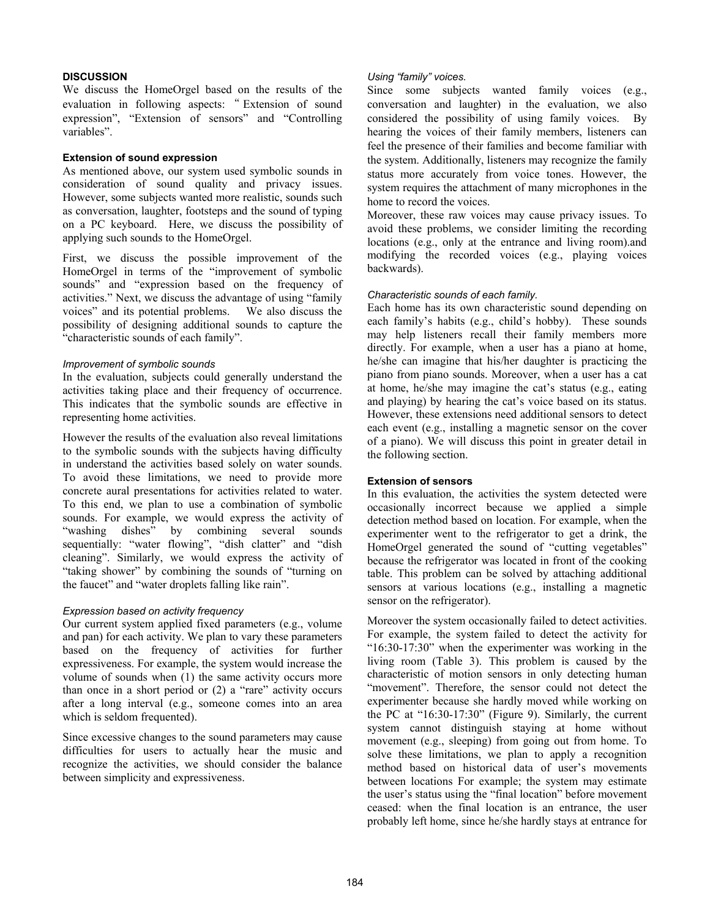# **DISCUSSION**

We discuss the HomeOrgel based on the results of the evaluation in following aspects: " Extension of sound expression", "Extension of sensors" and "Controlling variables".

#### **Extension of sound expression**

As mentioned above, our system used symbolic sounds in consideration of sound quality and privacy issues. However, some subjects wanted more realistic, sounds such as conversation, laughter, footsteps and the sound of typing on a PC keyboard. Here, we discuss the possibility of applying such sounds to the HomeOrgel.

First, we discuss the possible improvement of the HomeOrgel in terms of the "improvement of symbolic sounds" and "expression based on the frequency of activities." Next, we discuss the advantage of using "family voices" and its potential problems. We also discuss the possibility of designing additional sounds to capture the "characteristic sounds of each family".

# *Improvement of symbolic sounds*

In the evaluation, subjects could generally understand the activities taking place and their frequency of occurrence. This indicates that the symbolic sounds are effective in representing home activities.

However the results of the evaluation also reveal limitations to the symbolic sounds with the subjects having difficulty in understand the activities based solely on water sounds. To avoid these limitations, we need to provide more concrete aural presentations for activities related to water. To this end, we plan to use a combination of symbolic sounds. For example, we would express the activity of "washing dishes" by combining several sounds sequentially: "water flowing", "dish clatter" and "dish cleaning". Similarly, we would express the activity of "taking shower" by combining the sounds of "turning on the faucet" and "water droplets falling like rain".

#### *Expression based on activity frequency*

Our current system applied fixed parameters (e.g., volume and pan) for each activity. We plan to vary these parameters based on the frequency of activities for further expressiveness. For example, the system would increase the volume of sounds when (1) the same activity occurs more than once in a short period or (2) a "rare" activity occurs after a long interval (e.g., someone comes into an area which is seldom frequented).

Since excessive changes to the sound parameters may cause difficulties for users to actually hear the music and recognize the activities, we should consider the balance between simplicity and expressiveness.

#### *Using "family" voices.*

Since some subjects wanted family voices (e.g., conversation and laughter) in the evaluation, we also considered the possibility of using family voices. By hearing the voices of their family members, listeners can feel the presence of their families and become familiar with the system. Additionally, listeners may recognize the family status more accurately from voice tones. However, the system requires the attachment of many microphones in the home to record the voices.

Moreover, these raw voices may cause privacy issues. To avoid these problems, we consider limiting the recording locations (e.g., only at the entrance and living room).and modifying the recorded voices (e.g., playing voices backwards).

# *Characteristic sounds of each family.*

Each home has its own characteristic sound depending on each family's habits (e.g., child's hobby). These sounds may help listeners recall their family members more directly. For example, when a user has a piano at home, he/she can imagine that his/her daughter is practicing the piano from piano sounds. Moreover, when a user has a cat at home, he/she may imagine the cat's status (e.g., eating and playing) by hearing the cat's voice based on its status. However, these extensions need additional sensors to detect each event (e.g., installing a magnetic sensor on the cover of a piano). We will discuss this point in greater detail in the following section.

#### **Extension of sensors**

In this evaluation, the activities the system detected were occasionally incorrect because we applied a simple detection method based on location. For example, when the experimenter went to the refrigerator to get a drink, the HomeOrgel generated the sound of "cutting vegetables" because the refrigerator was located in front of the cooking table. This problem can be solved by attaching additional sensors at various locations (e.g., installing a magnetic sensor on the refrigerator).

Moreover the system occasionally failed to detect activities. For example, the system failed to detect the activity for "16:30-17:30" when the experimenter was working in the living room (Table 3). This problem is caused by the characteristic of motion sensors in only detecting human "movement". Therefore, the sensor could not detect the experimenter because she hardly moved while working on the PC at "16:30-17:30" (Figure 9). Similarly, the current system cannot distinguish staying at home without movement (e.g., sleeping) from going out from home. To solve these limitations, we plan to apply a recognition method based on historical data of user's movements between locations For example; the system may estimate the user's status using the "final location" before movement ceased: when the final location is an entrance, the user probably left home, since he/she hardly stays at entrance for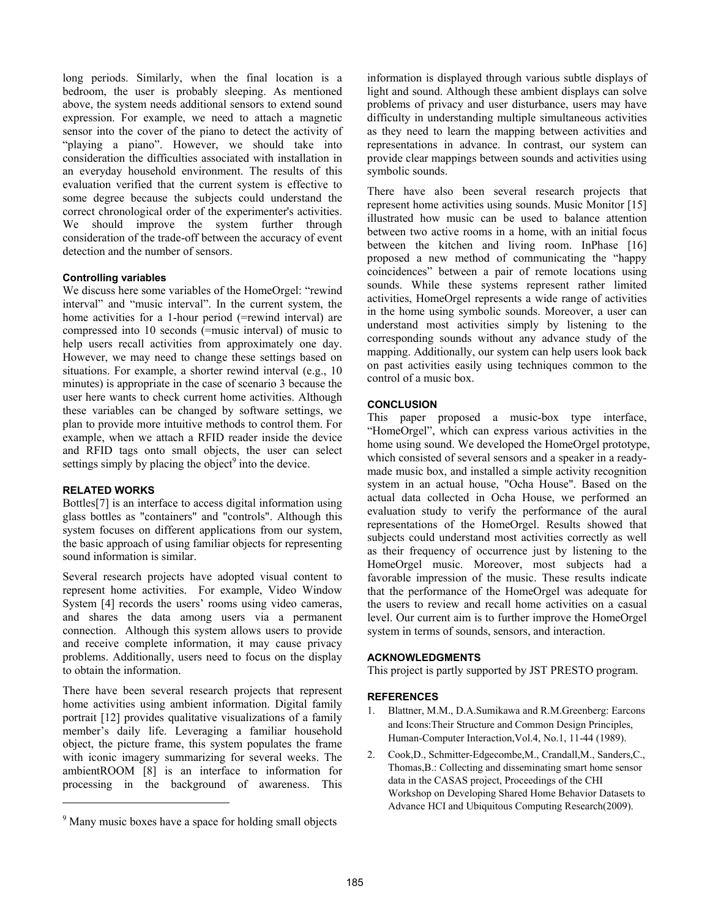long periods. Similarly, when the final location is a bedroom, the user is probably sleeping. As mentioned above, the system needs additional sensors to extend sound expression. For example, we need to attach a magnetic sensor into the cover of the piano to detect the activity of "playing a piano". However, we should take into consideration the difficulties associated with installation in an everyday household environment. The results of this evaluation verified that the current system is effective to some degree because the subjects could understand the correct chronological order of the experimenter's activities. We should improve the system further through consideration of the trade-off between the accuracy of event detection and the number of sensors.

#### **Controlling variables**

We discuss here some variables of the HomeOrgel: "rewind interval" and "music interval". In the current system, the home activities for a 1-hour period (=rewind interval) are compressed into 10 seconds (=music interval) of music to help users recall activities from approximately one day. However, we may need to change these settings based on situations. For example, a shorter rewind interval (e.g., 10 minutes) is appropriate in the case of scenario 3 because the user here wants to check current home activities. Although these variables can be changed by software settings, we plan to provide more intuitive methods to control them. For example, when we attach a RFID reader inside the device and RFID tags onto small objects, the user can select settings simply by placing the object $\theta$  into the device.

# **RELATED WORKS**

 $\overline{a}$ 

Bottles[7] is an interface to access digital information using glass bottles as "containers" and "controls". Although this system focuses on different applications from our system, the basic approach of using familiar objects for representing sound information is similar.

Several research projects have adopted visual content to represent home activities. For example, Video Window System [4] records the users' rooms using video cameras, and shares the data among users via a permanent connection. Although this system allows users to provide and receive complete information, it may cause privacy problems. Additionally, users need to focus on the display to obtain the information.

There have been several research projects that represent home activities using ambient information. Digital family portrait [12] provides qualitative visualizations of a family member's daily life. Leveraging a familiar household object, the picture frame, this system populates the frame with iconic imagery summarizing for several weeks. The ambientROOM [8] is an interface to information for processing in the background of awareness. This information is displayed through various subtle displays of light and sound. Although these ambient displays can solve problems of privacy and user disturbance, users may have difficulty in understanding multiple simultaneous activities as they need to learn the mapping between activities and representations in advance. In contrast, our system can provide clear mappings between sounds and activities using symbolic sounds.

There have also been several research projects that represent home activities using sounds. Music Monitor [15] illustrated how music can be used to balance attention between two active rooms in a home, with an initial focus between the kitchen and living room. InPhase [16] proposed a new method of communicating the "happy coincidences" between a pair of remote locations using sounds. While these systems represent rather limited activities, HomeOrgel represents a wide range of activities in the home using symbolic sounds. Moreover, a user can understand most activities simply by listening to the corresponding sounds without any advance study of the mapping. Additionally, our system can help users look back on past activities easily using techniques common to the control of a music box.

# **CONCLUSION**

This paper proposed a music-box type interface, "HomeOrgel", which can express various activities in the home using sound. We developed the HomeOrgel prototype, which consisted of several sensors and a speaker in a readymade music box, and installed a simple activity recognition system in an actual house, "Ocha House". Based on the actual data collected in Ocha House, we performed an evaluation study to verify the performance of the aural representations of the HomeOrgel. Results showed that subjects could understand most activities correctly as well as their frequency of occurrence just by listening to the HomeOrgel music. Moreover, most subjects had a favorable impression of the music. These results indicate that the performance of the HomeOrgel was adequate for the users to review and recall home activities on a casual level. Our current aim is to further improve the HomeOrgel system in terms of sounds, sensors, and interaction.

#### **ACKNOWLEDGMENTS**

This project is partly supported by JST PRESTO program.

# **REFERENCES**

- 1. Blattner, M.M., D.A.Sumikawa and R.M.Greenberg: Earcons and Icons:Their Structure and Common Design Principles, Human-Computer Interaction,Vol.4, No.1, 11-44 (1989).
- 2. Cook,D., Schmitter-Edgecombe,M., Crandall,M., Sanders,C., Thomas,B.: Collecting and disseminating smart home sensor data in the CASAS project, Proceedings of the CHI Workshop on Developing Shared Home Behavior Datasets to Advance HCI and Ubiquitous Computing Research(2009).

<sup>&</sup>lt;sup>9</sup> Many music boxes have a space for holding small objects